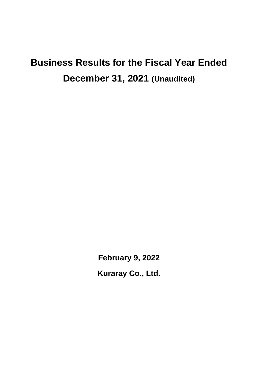# **Business Results for the Fiscal Year Ended December 31, 2021 (Unaudited)**

**February 9, 2022 Kuraray Co., Ltd.**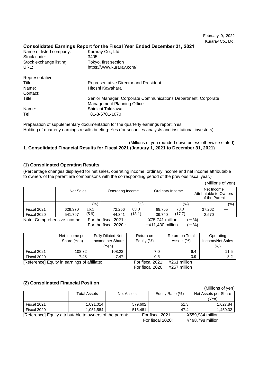### **Consolidated Earnings Report for the Fiscal Year Ended December 31, 2021**

| Name of listed company: | Kuraray Co., Ltd.                                              |
|-------------------------|----------------------------------------------------------------|
| Stock code:             | 3405                                                           |
| Stock exchange listing: | Tokyo, first section                                           |
| URL:                    | https://www.kuraray.com/                                       |
| Representative:         |                                                                |
| Title:                  | Representative Director and President                          |
| Name:                   | Hitoshi Kawahara                                               |
| Contact:                |                                                                |
| Title:                  | Senior Manager, Corporate Communications Department, Corporate |
|                         | <b>Management Planning Office</b>                              |
| Name:                   | Shinichi Takizawa                                              |
| Tel:                    | +81-3-6701-1070                                                |

Preparation of supplementary documentation for the quarterly earnings report: Yes Holding of quarterly earnings results briefing: Yes (for securities analysts and institutional investors)

### (Millions of yen rounded down unless otherwise stated) **1. Consolidated Financial Results for Fiscal 2021 (January 1, 2021 to December 31, 2021)**

### **(1) Consolidated Operating Results**

(Percentage changes displayed for net sales, operating income, ordinary income and net income attributable to owners of the parent are comparisons with the corresponding period of the previous fiscal year.)

|                             |                  |       |                       |        |                             |        |                                                       | (Millions of yen) |
|-----------------------------|------------------|-------|-----------------------|--------|-----------------------------|--------|-------------------------------------------------------|-------------------|
|                             | <b>Net Sales</b> |       | Operating Income      |        | Ordinary Income             |        | Net Income<br>Attributable to Owners<br>of the Parent |                   |
|                             |                  | (%)   |                       | (%)    |                             | (%)    |                                                       | $(\% )$           |
| Fiscal 2021                 | 629,370          | 16.2  | 72,256                | 63.0   | 68,765                      | 73.0   | 37,262                                                |                   |
| Fiscal 2020                 | 541,797          | (5.9) | 44.341                | (18.1) | 39.740                      | (17.7) | 2,570                                                 |                   |
| Note: Comprehensive income: |                  |       | For the fiscal 2021 : |        | ¥75,741 million             |        | $-$ %)                                                |                   |
|                             |                  |       | For the fiscal 2020:  |        | $-\frac{2}{1}$ ,430 million |        | $-$ %)                                                |                   |

|             | Net Income per<br>Share (Yen) | <b>Fully Diluted Net</b><br>Income per Share<br>'Yen). | Return on<br>Equity (%) | Return on Total<br>Assets (%) | Operating<br>Income/Net Sales<br>$(\% )$ |
|-------------|-------------------------------|--------------------------------------------------------|-------------------------|-------------------------------|------------------------------------------|
| Fiscal 2021 | 108.32                        | 108.23                                                 | 7.0                     | 6.4                           | 11.5                                     |
| Fiscal 2020 | 7.48                          | 7.47                                                   | 0.5                     | 3.9                           | 8.2                                      |

[Reference] Equity in earnings of affiliate: For fiscal 2021: ¥261 million

For fiscal 2020: ¥257 million

### **(2) Consolidated Financial Position**

| $\mathbf{v}$                                             |              |                   |         |                  |      | (Millions of yen)    |
|----------------------------------------------------------|--------------|-------------------|---------|------------------|------|----------------------|
|                                                          | Total Assets | <b>Net Assets</b> |         | Equity Ratio (%) |      | Net Assets per Share |
|                                                          |              |                   |         |                  |      | (Yen)                |
| Fiscal 2021                                              | 1,091,014    |                   | 579,602 |                  | 51.3 | 1,627.84             |
| Fiscal 2020                                              | 1,051,584    |                   | 515.481 |                  | 47.4 | 1.450.32             |
| [Reference] Equity attributable to owners of the parent: |              | For fiscal 2021:  |         | ¥559,984 million |      |                      |
|                                                          |              |                   |         | For fiscal 2020: |      | ¥498,798 million     |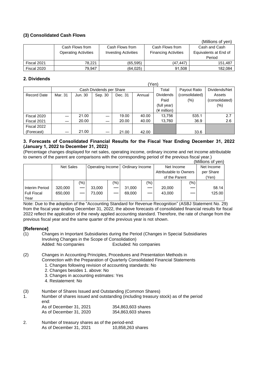### **(3) Consolidated Cash Flows**

|             |                             |                             |                             | (Millions of ven)     |
|-------------|-----------------------------|-----------------------------|-----------------------------|-----------------------|
|             | Cash Flows from             | Cash Flows from             | Cash Flows from             | Cash and Cash         |
|             | <b>Operating Activities</b> | <b>Investing Activities</b> | <b>Financing Activities</b> | Equivalents at End of |
|             |                             |                             |                             | Period                |
| Fiscal 2021 | 78.221                      | (65, 595)                   | (47.447)                    | 151.487               |
| Fiscal 2020 | 79.947                      | (64, 025)                   | 91,508                      | 182,084               |

### **2. Dividends**

|                    |         |         |                          |         |        | 'Yen)            |                |                |
|--------------------|---------|---------|--------------------------|---------|--------|------------------|----------------|----------------|
|                    |         |         | Cash Dividends per Share |         |        | Total            | Payout Ratio   | Dividends/Net  |
| <b>Record Date</b> | Mar. 31 | Jun. 30 | Sep. 30                  | Dec. 31 | Annual | <b>Dividends</b> | (consolidated) | Assets         |
|                    |         |         |                          |         |        | Paid             | $(\%)$         | (consolidated) |
|                    |         |         |                          |         |        | (full year)      |                | $(\%)$         |
|                    |         |         |                          |         |        | (¥ million)      |                |                |
| Fiscal 2020        |         | 21.00   |                          | 19.00   | 40.00  | 13,756           | 535.1          | 2.7            |
| Fiscal 2021        |         | 20.00   |                          | 20.00   | 40.00  | 13,760           | 36.9           | 2.6            |
| Fiscal 2022        |         |         |                          |         |        |                  |                |                |
| (Forecast)         |         | 21.00   |                          | 21.00   | 42.00  |                  | 33.6           |                |

### **3. Forecasts of Consolidated Financial Results for the Fiscal Year Ending December 31, 2022 (January 1, 2022 to December 31, 2022)**

(Percentage changes displayed for net sales, operating income, ordinary income and net income attributable to owners of the parent are comparisons with the corresponding period of the previous fiscal year.)

|                    |                  |     |                  |               |                        |         |               |      | (Millions of yen) |
|--------------------|------------------|-----|------------------|---------------|------------------------|---------|---------------|------|-------------------|
|                    | <b>Net Sales</b> |     | Operating Income |               | Ordinary Income        |         | Net Income    |      | Net Income        |
|                    |                  |     |                  |               | Attributable to Owners |         | per Share     |      |                   |
|                    |                  |     |                  |               |                        |         | of the Parent |      | (Yen)             |
|                    |                  | (%) |                  | $\frac{1}{2}$ |                        | $(\% )$ |               | (% ) |                   |
| Interim Period     | 320,000          |     | 33,000           |               | 31,000                 |         | 20,000        |      | 58.14             |
| <b>Full Fiscal</b> | 650,000          |     | 73,000           |               | 69,000                 |         | 43,000        |      | 125.00            |
| Year               |                  |     |                  |               |                        |         |               |      |                   |

Note: Due to the adoption of the "Accounting Standard for Revenue Recognition" (ASBJ Statement No. 29) from the fiscal year ending December 31, 2022, the above forecasts of consolidated financial results for fiscal 2022 reflect the application of the newly applied accounting standard. Therefore, the rate of change from the previous fiscal year and the same quarter of the previous year is not shown.

### **[Reference]**

- (1) Changes in Important Subsidiaries during the Period (Changes in Special Subsidiaries Involving Changes in the Scope of Consolidation) Added: No companies Excluded: No companies
- (2) Changes in Accounting Principles, Procedures and Presentation Methods in Connection with the Preparation of Quarterly Consolidated Financial Statements
	- 1. Changes following revision of accounting standards: No
	- 2. Changes besides 1. above: No
	- 3. Changes in accounting estimates: Yes
	- 4. Restatement: No
- (3) Number of Shares Issued and Outstanding (Common Shares)
- 1. Number of shares issued and outstanding (including treasury stock) as of the period end:

| As of December 31, 2021 | 354,863,603 shares |
|-------------------------|--------------------|
| As of December 31, 2020 | 354,863,603 shares |

2. Number of treasury shares as of the period-end: As of December 31, 2021 10,858,263 shares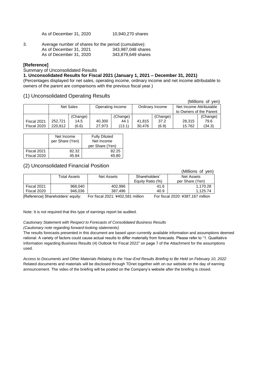As of December 31, 2020 10,940,270 shares

| 3. | Average number of shares for the period (cumulative): |                    |
|----|-------------------------------------------------------|--------------------|
|    | As of December 31, 2021                               | 343,987,048 shares |
|    | As of December 31, 2020                               | 343,879,649 shares |

### **[Reference]**

Summary of Unconsolidated Results

### **1. Unconsolidated Results for Fiscal 2021 (January 1, 2021 – December 31, 2021)**

(Percentages displayed for net sales, operating income, ordinary income and net income attributable to owners of the parent are comparisons with the previous fiscal year.)

### (1) Unconsolidated Operating Results

|             |           |          |                  |          |                 |          |                         | (Millions of yen) |
|-------------|-----------|----------|------------------|----------|-----------------|----------|-------------------------|-------------------|
|             | Net Sales |          | Operating Income |          | Ordinary Income |          | Net Income Attributable |                   |
|             |           |          |                  |          |                 |          | to Owners of the Parent |                   |
|             |           | (Change) |                  | (Change) |                 | (Change) |                         | (Change)          |
| Fiscal 2021 | 252.721   | 14.5     | 40,300           | 44.1     | 41.815          | 37.2     | 28.315                  | 79.6              |
| Fiscal 2020 | 220.812   | (6.6)    | 27.973           | (13.1)   | 30.476          | (6.9)    | 15.762                  | (34.3)            |

|             | Net Income<br>per Share (Yen) | <b>Fully Diluted</b><br>Net Income<br>per Share (Yen) |  |  |
|-------------|-------------------------------|-------------------------------------------------------|--|--|
| Fiscal 2021 | 82.32                         | 82.25                                                 |  |  |
| Fiscal 2020 | 45.84                         | 45.80                                                 |  |  |

### (2) Unconsolidated Financial Position

|                              |              |                           |                  | (Millions of<br>ven) |
|------------------------------|--------------|---------------------------|------------------|----------------------|
|                              | Total Assets | Net Assets                | Shareholders'    | Net Assets           |
|                              |              |                           | Equity Ratio (%) | per Share (Yen)      |
| Fiscal 2021                  | 968,040      | 402.996                   | 41.6             | 1.170.28             |
| Fiscal 2020                  | 946,036      | 387.496                   | 40.9             | 1.125.74             |
| $ -$<br>$\sim$ $\sim$ $\sim$ | . .          | $\cdot$<br>-<br>---- -- . | <br>-<br>$\cdot$ | <br>---- ----- ---   |

[Reference] Shareholders' equity: For fiscal 2021: ¥402,581 million For fiscal 2020: ¥387,167 million

Note: It is not required that this type of earnings report be audited.

### *Cautionary Statement with Respect to Forecasts of Consolidated Business Results*

*(Cautionary note regarding forward-looking statements)*

The results forecasts presented in this document are based upon currently available information and assumptions deemed rational. A variety of factors could cause actual results to differ materially from forecasts. Please refer to "1. Qualitative Information regarding Business Results (4) Outlook for Fiscal 2022" on page 7 of the Attachment for the assumptions used.

*Access to Documents and Other Materials Relating to the Year-End Results Briefing to Be Held on February 10, 2022* Related documents and materials will be disclosed through TDnet together with on our website on the day of earning announcement. The video of the briefing will be posted on the Company's website after the briefing is closed.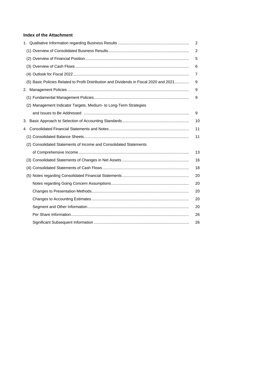### **Index of the Attachment**

|                                                                                         | 2  |
|-----------------------------------------------------------------------------------------|----|
|                                                                                         | 2  |
|                                                                                         | 5  |
|                                                                                         | 6  |
|                                                                                         | 7  |
| (5) Basic Policies Related to Profit Distribution and Dividends in Fiscal 2020 and 2021 | 9  |
|                                                                                         | 9  |
|                                                                                         | 9  |
| (2) Management Indicator Targets, Medium- to Long-Term Strategies                       |    |
|                                                                                         | 9  |
|                                                                                         | 10 |
|                                                                                         | 11 |
|                                                                                         | 11 |
| (2) Consolidated Statements of Income and Consolidated Statements                       |    |
|                                                                                         | 13 |
|                                                                                         | 16 |
|                                                                                         | 18 |
|                                                                                         | 20 |
|                                                                                         | 20 |
|                                                                                         | 20 |
|                                                                                         | 20 |
|                                                                                         | 20 |
|                                                                                         | 26 |
|                                                                                         | 26 |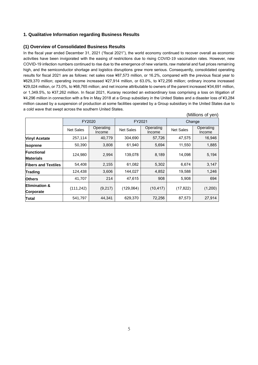### **1. Qualitative Information regarding Business Results**

### **(1) Overview of Consolidated Business Results**

In the fiscal year ended December 31, 2021 ("fiscal 2021"), the world economy continued to recover overall as economic activities have been invigorated with the easing of restrictions due to rising COVID-19 vaccination rates. However, new COVID-19 infection numbers continued to rise due to the emergence of new variants, raw material and fuel prices remaining high, and the semiconductor shortage and logistics disruptions grew more serious. Consequently, consolidated operating results for fiscal 2021 are as follows: net sales rose ¥87,573 million, or 16.2%, compared with the previous fiscal year to ¥629,370 million; operating income increased ¥27,914 million, or 63.0%, to ¥72,256 million; ordinary income increased ¥29,024 million, or 73.0%, to ¥68,765 million; and net income attributable to owners of the parent increased ¥34,691 million, or 1,349.5%, to ¥37,262 million. In fiscal 2021, Kuraray recorded an extraordinary loss comprising a loss on litigation of ¥4,296 million in connection with a fire in May 2018 at a Group subsidiary in the United States and a disaster loss of ¥3,284 million caused by a suspension of production at some facilities operated by a Group subsidiary in the United States due to a cold wave that swept across the southern United States.

|                                       |                  |                     |                  |                     |                  | (Millions of yen)   |  |
|---------------------------------------|------------------|---------------------|------------------|---------------------|------------------|---------------------|--|
|                                       |                  | FY2020              | FY2021           |                     |                  | Change              |  |
|                                       | <b>Net Sales</b> | Operating<br>Income | <b>Net Sales</b> | Operating<br>Income | <b>Net Sales</b> | Operating<br>Income |  |
| <b>Vinyl Acetate</b>                  | 257,114          | 40,779              | 304,690          | 57,726              | 47,575           | 16,946              |  |
| <b>Isoprene</b>                       | 50,390           | 3,808               | 61,940           | 5,694               | 11,550           | 1,885               |  |
| <b>Functional</b><br><b>Materials</b> | 124,980          | 2,994               | 139,078          | 8,189               | 14,098           | 5,194               |  |
| <b>Fibers and Textiles</b>            | 54,408           | 2,155               | 61,082           | 5,302               | 6,674            | 3,147               |  |
| Trading                               | 124,438          | 3,606               | 144,027          | 4,852               | 19,588           | 1,246               |  |
| <b>Others</b>                         | 41,707           | 214                 | 47,615           | 908                 | 5,908            | 694                 |  |
| <b>Elimination &amp;</b><br>Corporate | (111, 242)       | (9,217)             | (129,064)        | (10, 417)           | (17, 822)        | (1,200)             |  |
| Total                                 | 541,797          | 44,341              | 629,370          | 72,256              | 87,573           | 27,914              |  |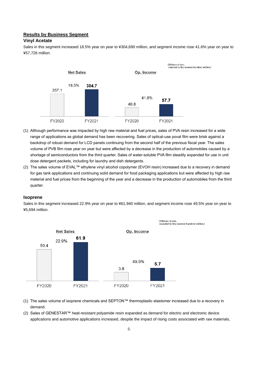### **Results by Business Segment**

### **Vinyl Acetate**

Sales in this segment increased 18.5% year on year to ¥304,690 million, and segment income rose 41.6% year on year to ¥57,726 million.



- (1) Although performance was impacted by high raw material and fuel prices, sales of PVA resin increased for a wide range of applications as global demand has been recovering. Sales of optical-use poval film were brisk against a backdrop of robust demand for LCD panels continuing from the second half of the previous fiscal year. The sales volume of PVB film rose year on year but were affected by a decrease in the production of automobiles caused by a shortage of semiconductors from the third quarter. Sales of water-soluble PVA film steadily expanded for use in unit dose detergent packets, including for laundry and dish detergents.
- (2) The sales volume of EVAL™ ethylene vinyl alcohol copolymer (EVOH resin) increased due to a recovery in demand for gas tank applications and continuing solid demand for food packaging applications but were affected by high raw material and fuel prices from the beginning of the year and a decrease in the production of automobiles from the third quarter.

#### **Isoprene**

Sales in this segment increased 22.9% year on year to ¥61,940 million, and segment income rose 49.5% year on year to ¥5,694 million.



- (1) The sales volume of isoprene chemicals and SEPTON™ thermoplastic elastomer increased due to a recovery in demand.
- (2) Sales of GENESTAR™ heat-resistant polyamide resin expanded as demand for electric and electronic device applications and automotive applications increased, despite the impact of rising costs associated with raw materials,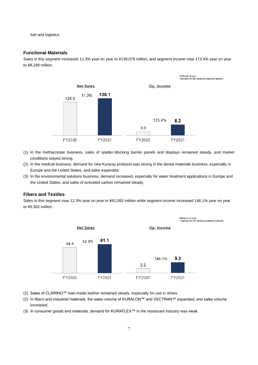fuel and logistics.

### **Functional Materials**

Sales in this segment increased 11.3% year on year to ¥139,078 million, and segment income rose 173.4% year on year to ¥8,189 million.



- (1) In the methacrylate business, sales of spatter-blocking barrier panels and displays remained steady, and market conditions stayed strong.
- (2) In the medical business, demand for new Kuraray products was strong in the dental materials business, especially in Europe and the United States, and sales expanded.
- (3) In the environmental solutions business, demand increased, especially for water treatment applications in Europe and the United States, and sales of activated carbon remained steady.

#### **Fibers and Textiles**

Sales in this segment rose 12.3% year on year to ¥61,082 million while segment income increased 146.1% year on year to ¥5,302 million.



- (1) Sales of CLARINO™ man-made leather remained steady, especially for use in shoes.
- (2) In fibers and industrial materials, the sales volume of KURALON™ and VECTRAN™ expanded, and sales volume increased.
- (3) In consumer goods and materials, demand for KURAFLEX™ in the restaurant industry was weak.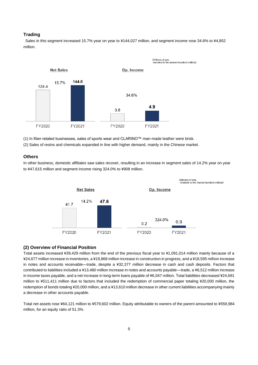### **Trading**

Sales in this segment increased 15.7% year on year to ¥144,027 million, and segment income rose 34.6% to ¥4,852 million.



(1) In fiber-related businesses, sales of sports wear and CLARINO™ man-made leather were brisk.

(2) Sales of resins and chemicals expanded in line with higher demand, mainly in the Chinese market.

#### **Others**

In other business, domestic affiliates saw sales recover, resulting in an increase in segment sales of 14.2% year on year to ¥47,615 million and segment income rising 324.0% to ¥908 million.



#### **(2) Overview of Financial Position**

Total assets increased ¥39,429 million from the end of the previous fiscal year to ¥1,091,014 million mainly because of a ¥24,677 million increase in inventories, a ¥19,868 million increase in construction in progress, and a ¥18,595 million increase in notes and accounts receivable—trade, despite a ¥32,377 million decrease in cash and cash deposits. Factors that contributed to liabilities included a ¥13,480 million increase in notes and accounts payable—trade, a ¥6,512 million increase in income taxes payable, and a net increase in long-term loans payable of ¥6,047 million. Total liabilities decreased ¥24,691 million to ¥511,411 million due to factors that included the redemption of commercial paper totaling ¥20,000 million, the redemption of bonds totaling ¥20,000 million, and a ¥13,610 million decrease in other current liabilities accompanying mainly a decrease in other accounts payable.

Total net assets rose ¥64,121 million to ¥579,602 million. Equity attributable to owners of the parent amounted to ¥559,984 million, for an equity ratio of 51.3%.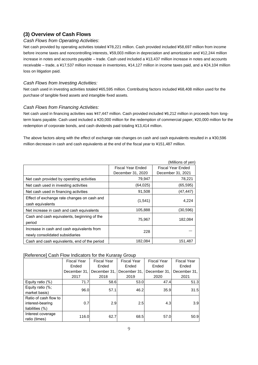### **(3) Overview of Cash Flows**

### *Cash Flows from Operating Activities*:

Net cash provided by operating activities totaled ¥78,221 million. Cash provided included ¥58,697 million from income before income taxes and noncontrolling interests, ¥59,003 million in depreciation and amortization and ¥12,244 million increase in notes and accounts payable – trade. Cash used included a ¥13,437 million increase in notes and accounts receivable – trade, a ¥17,537 million increase in inventories, ¥14,127 million in income taxes paid, and a ¥24,104 million loss on litigation paid.

### *Cash Flows from Investing Activities:*

Net cash used in investing activities totaled ¥65,595 million. Contributing factors included ¥68,408 million used for the purchase of tangible fixed assets and intangible fixed assets.

### *Cash Flows from Financing Activities:*

Net cash used in financing activities was ¥47,447 million. Cash provided included ¥6,212 million in proceeds from longterm loans payable. Cash used included a ¥20,000 million for the redemption of commercial paper, ¥20,000 million for the redemption of corporate bonds, and cash dividends paid totaling ¥13,414 million.

The above factors along with the effect of exchange rate changes on cash and cash equivalents resulted in a ¥30,596 million decrease in cash and cash equivalents at the end of the fiscal year to ¥151,487 million.

|                                                                               |                   | (Millions of yen)        |
|-------------------------------------------------------------------------------|-------------------|--------------------------|
|                                                                               | Fiscal Year Ended | <b>Fiscal Year Ended</b> |
|                                                                               | December 31, 2020 | December 31, 2021        |
| Net cash provided by operating activities                                     | 79,947            | 78,221                   |
| Net cash used in investing activities                                         | (64, 025)         | (65, 595)                |
| Net cash used in financing activities                                         | 91,508            | (47, 447)                |
| Effect of exchange rate changes on cash and<br>cash equivalents               | (1,541)           | 4,224                    |
| Net increase in cash and cash equivalents                                     | 105,888           | (30, 596)                |
| Cash and cash equivalents, beginning of the<br>period                         | 75,967            | 182,084                  |
| Increase in cash and cash equivalents from<br>newly consolidated subsidiaries | 228               |                          |
| Cash and cash equivalents, end of the period                                  | 182,084           | 151,487                  |

### [Reference] Cash Flow Indicators for the Kuraray Group

|                       | <b>Fiscal Year</b> | <b>Fiscal Year</b> | <b>Fiscal Year</b> | <b>Fiscal Year</b> | <b>Fiscal Year</b> |
|-----------------------|--------------------|--------------------|--------------------|--------------------|--------------------|
|                       | Ended              | Ended              | Ended              | Ended              | Ended              |
|                       | December 31,       | December 31,       | December 31,       | December 31,       | December 31,       |
|                       | 2017               | 2018               | 2019               | 2020               | 2021               |
| Equity ratio (%)      | 71.7               | 58.6               | 53.0               | 47.4               | 51.3               |
| Equity ratio (%;      | 96.0               | 57.1               | 46.2               | 35.9               | 31.5               |
| market basis)         |                    |                    |                    |                    |                    |
| Ratio of cash flow to |                    |                    |                    |                    |                    |
| interest-bearing      | 0.7                | 2.9                | 2.5                | 4.3                | 3.9                |
| liabilities (%)       |                    |                    |                    |                    |                    |
| Interest coverage     | 116.0              | 62.7               | 68.5               | 57.0               | 50.9               |
| ratio (times)         |                    |                    |                    |                    |                    |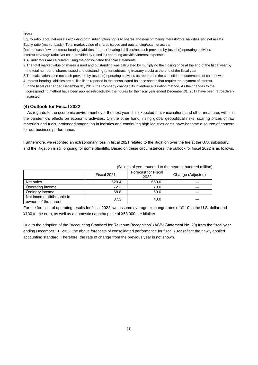Notes:

Equity ratio: Total net assets excluding both subscription rights to shares and noncontrolling interests/total liabilities and net assets Equity ratio (market basis): Total market value of shares issued and outstanding/total net assets

Ratio of cash flow to interest-bearing liabilities: Interest-bearing liabilities/net cash provided by (used in) operating activities Interest coverage ratio: Net cash provided by (used in) operating activities/interest expenses

1.All indicators are calculated using the consolidated financial statements.

- 2.The total market value of shares issued and outstanding was calculated by multiplying the closing price at the end of the fiscal year by the total number of shares issued and outstanding (after subtracting treasury stock) at the end of the fiscal year.
- 3.The calculations use net cash provided by (used in) operating activities as reported in the consolidated statements of cash flows.

4.Interest-bearing liabilities are all liabilities reported in the consolidated balance sheets that require the payment of interest.

5.In the fiscal year ended December 31, 2018, the Company changed its inventory evaluation method. As the changes to the corresponding method have been applied retroactively, the figures for the fiscal year ended December 31, 2017 have been retroactively

adjusted.

#### **(4) Outlook for Fiscal 2022**

As regards to the economic environment over the next year, it is expected that vaccinations and other measures will limit the pandemic's effects on economic activities. On the other hand, rising global geopolitical risks, soaring prices of raw materials and fuels, prolonged stagnation in logistics and continuing high logistics costs have become a source of concern for our business performance.

Furthermore, we recorded an extraordinary loss in fiscal 2021 related to the litigation over the fire at the U.S. subsidiary, and the litigation is still ongoing for some plaintiffs. Based on these circumstances, the outlook for fiscal 2022 is as follows.

| (Dillions of yet), fourtied to the ricalest hundred fillinoity |             |                                    |                   |
|----------------------------------------------------------------|-------------|------------------------------------|-------------------|
|                                                                | Fiscal 2021 | <b>Forecast for Fiscal</b><br>2022 | Change (Adjusted) |
| Net sales                                                      | 629.4       | 650.0                              |                   |
| Operating income                                               | 72.3        | 73.0                               |                   |
| Ordinary income                                                | 68.8        | 69.0                               |                   |
| Net income attributable to<br>owners of the parent             | 37.3        | 43.0                               |                   |

(Billions of yen, rounded to the nearest hundred million)

For the forecast of operating results for fiscal 2022, we assume average exchange rates of ¥110 to the U.S. dollar and ¥130 to the euro, as well as a domestic naphtha price of ¥58,000 per kiloliter.

Due to the adoption of the "Accounting Standard for Revenue Recognition" (ASBJ Statement No. 29) from the fiscal year ending December 31, 2022, the above forecasts of consolidated performance for fiscal 2022 reflect the newly applied accounting standard. Therefore, the rate of change from the previous year is not shown.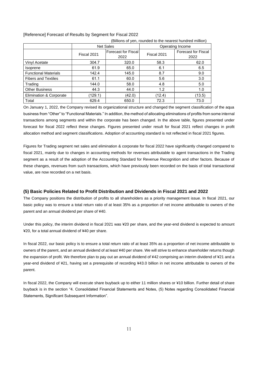| (Billions of yen, rounded to the nearest hundred million) |             |                                                   |                  |                                    |  |
|-----------------------------------------------------------|-------------|---------------------------------------------------|------------------|------------------------------------|--|
|                                                           |             | <b>Net Sales</b>                                  | Operating Income |                                    |  |
|                                                           | Fiscal 2021 | <b>Forecast for Fiscal</b><br>Fiscal 2021<br>2022 |                  | <b>Forecast for Fiscal</b><br>2022 |  |
| Vinyl Acetate                                             | 304.7       | 320.0                                             | 58.3             | 62.0                               |  |
| <i>Isoprene</i>                                           | 61.9        | 65.0                                              | 6.1              | 6.5                                |  |
| <b>Functional Materials</b>                               | 142.4       | 145.0                                             | 8.7              | 9.0                                |  |
| <b>Fibers and Textiles</b>                                | 61.1        | 60.0                                              | 5.6              | 3.0                                |  |
| Trading                                                   | 144.0       | 58.0                                              | 4.8              | 5.0                                |  |
| <b>Other Business</b>                                     | 44.3        | 44.0                                              | 1.2              | 1.0                                |  |
| Elimination & Corporate                                   | (129.1)     | (42.0)                                            | (12.4)           | (13.5)                             |  |
| Total                                                     | 629.4       | 650.0                                             | 72.3             | 73.0                               |  |

#### [Reference] Forecast of Results by Segment for Fiscal 2022

On January 1, 2022, the Company revised its organizational structure and changed the segment classification of the aqua business from "Other" to "Functional Materials." In addition, the method of allocating eliminations of profits from some internal transactions among segments and within the corporate has been changed. In the above table, figures presented under forecast for fiscal 2022 reflect these changes. Figures presented under result for fiscal 2021 reflect changes in profit allocation method and segment classifications. Adoption of accounting standard is not reflected in fiscal 2021 figures.

Figures for Trading segment net sales and elimination & corporate for fiscal 2022 have significantly changed compared to fiscal 2021, mainly due to changes in accounting methods for revenues attributable to agent transactions in the Trading segment as a result of the adoption of the Accounting Standard for Revenue Recognition and other factors. Because of these changes, revenues from such transactions, which have previously been recorded on the basis of total transactional value, are now recorded on a net basis.

### **(5) Basic Policies Related to Profit Distribution and Dividends in Fiscal 2021 and 2022**

The Company positions the distribution of profits to all shareholders as a priority management issue. In fiscal 2021, our basic policy was to ensure a total return ratio of at least 35% as a proportion of net income attributable to owners of the parent and an annual dividend per share of ¥40.

Under this policy, the interim dividend in fiscal 2021 was ¥20 per share, and the year-end dividend is expected to amount ¥20, for a total annual dividend of ¥40 per share.

In fiscal 2022, our basic policy is to ensure a total return ratio of at least 35% as a proportion of net income attributable to owners of the parent, and an annual dividend of at least ¥40 per share. We will strive to enhance shareholder returns though the expansion of profit. We therefore plan to pay out an annual dividend of ¥42 comprising an interim dividend of ¥21 and a year-end dividend of ¥21, having set a prerequisite of recording ¥43.0 billion in net income attributable to owners of the parent.

In fiscal 2022, the Company will execute share buyback up to either 11 million shares or ¥10 billion. Further detail of share buyback is in the section "4. Consolidated Financial Statements and Notes, (5) Notes regarding Consolidated Financial Statements, Significant Subsequent Information".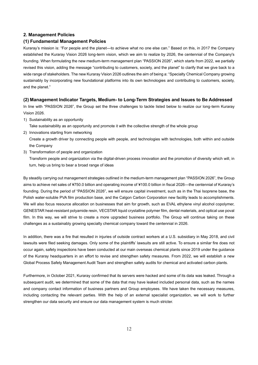#### **2. Management Policies**

#### **(1) Fundamental Management Policies**

Kuraray's mission is: "For people and the planet—to achieve what no one else can." Based on this, in 2017 the Company established the Kuraray Vision 2026 long-term vision, which we aim to realize by 2026, the centennial of the Company's founding. When formulating the new medium-term management plan "PASSION 2026", which starts from 2022, we partially revised this vision, adding the message "contributing to customers, society, and the planet" to clarify that we give back to a wide range of stakeholders. The new Kuraray Vision 2026 outlines the aim of being a: "Specialty Chemical Company growing sustainably by incorporating new foundational platforms into its own technologies and contributing to customers, society, and the planet."

### **(2) Management Indicator Targets, Medium- to Long-Term Strategies and Issues to Be Addressed**

In line with "PASSION 2026", the Group set the three challenges to tackle listed below to realize our long-term Kuraray Vision 2026.

1) Sustainability as an opportunity

Take sustainability as an opportunity and promote it with the collective strength of the whole group

2) Innovations starting from networking

Create a growth driver by connecting people with people, and technologies with technologies, both within and outside the Company

3) Transformation of people and organization

Transform people and organization via the digital-driven process innovation and the promotion of diversity which will, in turn, help us bring to bear a broad range of ideas

By steadily carrying out management strategies outlined in the medium-term management plan "PASSION 2026", the Group aims to achieve net sales of ¥750.0 billion and operating income of ¥100.0 billion in fiscal 2026—the centennial of Kuraray's founding. During the period of "PASSION 2026", we will ensure capital investment, such as in the Thai Isoprene base, the Polish water-soluble PVA film production base, and the Calgon Carbon Corporation new facility leads to accomplishments. We will also focus resource allocation on businesses that aim for growth, such as EVAL ethylene vinyl alcohol copolymer, GENESTAR heat-resistant polyamide resin, VECSTAR liquid crystalline polymer film, dental materials, and optical use poval film. In this way, we will strive to create a more upgraded business portfolio. The Group will continue taking on these challenges as a sustainably growing specialty chemical company toward the centennial in 2026.

In addition, there was a fire that resulted in injuries of outside contract workers at a U.S. subsidiary in May 2018, and civil lawsuits were filed seeking damages. Only some of the plaintiffs' lawsuits are still active. To ensure a similar fire does not occur again, safety inspections have been conducted at our main overseas chemical plants since 2019 under the guidance of the Kuraray headquarters in an effort to revise and strengthen safety measures. From 2022, we will establish a new Global Process Safety Management Audit Team and strengthen safety audits for chemical and activated carbon plants.

Furthermore, in October 2021, Kuraray confirmed that its servers were hacked and some of its data was leaked. Through a subsequent audit, we determined that some of the data that may have leaked included personal data, such as the names and company contact information of business partners and Group employees. We have taken the necessary measures, including contacting the relevant parties. With the help of an external specialist organization, we will work to further strengthen our data security and ensure our data management system is much stricter.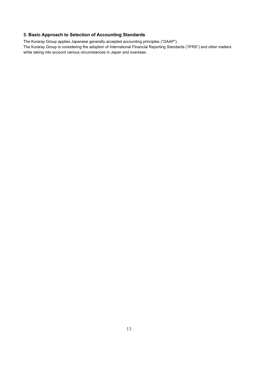### **3. Basic Approach to Selection of Accounting Standards**

The Kuraray Group applies Japanese generally accepted accounting principles ("GAAP").

The Kuraray Group is considering the adoption of International Financial Reporting Standards ("IFRS") and other matters while taking into account various circumstances in Japan and overseas.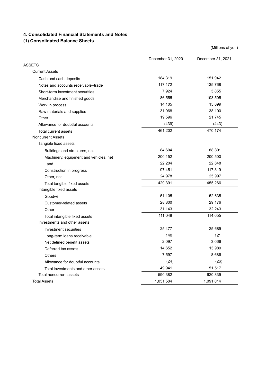### **4. Consolidated Financial Statements and Notes**

## **(1) Consolidated Balance Sheets**

|                                        | December 31, 2020 | December 31, 2021 |
|----------------------------------------|-------------------|-------------------|
| <b>ASSETS</b>                          |                   |                   |
| <b>Current Assets</b>                  |                   |                   |
| Cash and cash deposits                 | 184,319           | 151,942           |
| Notes and accounts receivable-trade    | 117,172           | 135,768           |
| Short-term investment securities       | 7,924             | 3,855             |
| Merchandise and finished goods         | 86,555            | 103,505           |
| Work in process                        | 14,105            | 15,699            |
| Raw materials and supplies             | 31,968            | 38,100            |
| Other                                  | 19,596            | 21,745            |
| Allowance for doubtful accounts        | (439)             | (443)             |
| Total current assets                   | 461,202           | 470,174           |
| <b>Noncurrent Assets</b>               |                   |                   |
| Tangible fixed assets                  |                   |                   |
| Buildings and structures, net          | 84,604            | 88,801            |
| Machinery, equipment and vehicles, net | 200,152           | 200,500           |
| Land                                   | 22,204            | 22,648            |
| Construction in progress               | 97,451            | 117,319           |
| Other, net                             | 24,978            | 25,997            |
| Total tangible fixed assets            | 429,391           | 455,266           |
| Intangible fixed assets                |                   |                   |
| Goodwill                               | 51,105            | 52,635            |
| Customer-related assets                | 28,800            | 29,176            |
| Other                                  | 31,143            | 32,243            |
| Total intangible fixed assets          | 111,049           | 114,055           |
| Investments and other assets           |                   |                   |
| Investment securities                  | 25,477            | 25,689            |
| Long-term loans receivable             | 140               | 121               |
| Net defined benefit assets             | 2,097             | 3,066             |
| Deferred tax assets                    | 14,652            | 13,980            |
| Others                                 | 7,597             | 8,686             |
| Allowance for doubtful accounts        | (24)              | (26)              |
| Total investments and other assets     | 49,941            | 51,517            |
| Total noncurrent assets                | 590,382           | 620,839           |
| <b>Total Assets</b>                    | 1,051,584         | 1,091,014         |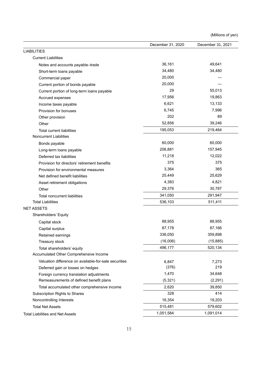|                                                       | December 31, 2020 | December 31, 2021 |
|-------------------------------------------------------|-------------------|-------------------|
| <b>LIABILITIES</b>                                    |                   |                   |
| <b>Current Liabilities</b>                            |                   |                   |
| Notes and accounts payable-trade                      | 36,161            | 49,641            |
| Short-term loans payable                              | 34,480            | 34,480            |
| Commercial paper                                      | 20,000            |                   |
| Current portion of bonds payable                      | 20,000            |                   |
| Current portion of long-term loans payable            | 29                | 55,013            |
| Accrued expenses                                      | 17,956            | 19,863            |
| Income taxes payable                                  | 6,621             | 13,133            |
| Provision for bonuses                                 | 6,745             | 7,996             |
| Other provision                                       | 202               | 89                |
| Other                                                 | 52,856            | 39,246            |
| <b>Total current liabilities</b>                      | 195,053           | 219,464           |
| <b>Noncurrent Liabilities</b>                         |                   |                   |
| Bonds payable                                         | 60,000            | 60,000            |
| Long-term loans payable                               | 206,881           | 157,945           |
| Deferred tax liabilities                              | 11,218            | 12,022            |
| Provision for directors' retirement benefits          | 375               | 375               |
| Provision for environmental measures                  | 3,364             | 365               |
| Net defined benefit liabilities                       | 25,449            | 25,629            |
| Asset retirement obligations                          | 4,383             | 4,821             |
| Other                                                 | 29,376            | 30,787            |
| Total noncurrent liabilities                          | 341,050           | 291,947           |
| <b>Total Liabilities</b>                              | 536,103           | 511,411           |
| <b>NET ASSETS</b>                                     |                   |                   |
| Shareholders' Equity                                  |                   |                   |
| Capital stock                                         | 88,955            | 88,955            |
| Capital surplus                                       | 87,178            | 87,166            |
| Retained earnings                                     | 336,050           | 359,898           |
| Treasury stock                                        | (16,006)          | (15, 885)         |
| Total shareholders' equity                            | 496,177           | 520,134           |
| Accumulated Other Comprehensive Income                |                   |                   |
| Valuation difference on available-for-sale securities | 6,847             | 7,273             |
| Deferred gain or losses on hedges                     | (376)             | 219               |
| Foreign currency translation adjustments              | 1,470             | 34,648            |
| Remeasurements of defined benefit plans               | (5, 321)          | (2, 291)          |
| Total accumulated other comprehensive income          | 2,620             | 39,850            |
| Subscription Rights to Shares                         | 328               | 414               |
| Noncontrolling Interests                              | 16,354            | 19,203            |
| <b>Total Net Assets</b>                               | 515,481           | 579,602           |
| Total Liabilities and Net Assets                      | 1,051,584         | 1,091,014         |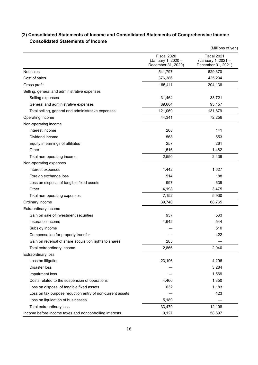|                                                           |                                                         | (Millions of yen)                                       |
|-----------------------------------------------------------|---------------------------------------------------------|---------------------------------------------------------|
|                                                           | Fiscal 2020<br>(January 1, 2020 -<br>December 31, 2020) | Fiscal 2021<br>(January 1, 2021 -<br>December 31, 2021) |
| Net sales                                                 | 541,797                                                 | 629,370                                                 |
| Cost of sales                                             | 376,386                                                 | 425,234                                                 |
| Gross profit                                              | 165,411                                                 | 204,136                                                 |
| Selling, general and administrative expenses              |                                                         |                                                         |
| Selling expenses                                          | 31,464                                                  | 38,721                                                  |
| General and administrative expenses                       | 89,604                                                  | 93,157                                                  |
| Total selling, general and administrative expenses        | 121,069                                                 | 131,879                                                 |
| Operating income                                          | 44,341                                                  | 72,256                                                  |
| Non-operating income                                      |                                                         |                                                         |
| Interest income                                           | 208                                                     | 141                                                     |
| Dividend income                                           | 568                                                     | 553                                                     |
| Equity in earnings of affiliates                          | 257                                                     | 261                                                     |
| Other                                                     | 1,516                                                   | 1,482                                                   |
| Total non-operating income                                | 2,550                                                   | 2,439                                                   |
| Non-operating expenses                                    |                                                         |                                                         |
| Interest expenses                                         | 1,442                                                   | 1,627                                                   |
| Foreign exchange loss                                     | 514                                                     | 188                                                     |
| Loss on disposal of tangible fixed assets                 | 997                                                     | 639                                                     |
| Other                                                     | 4,198                                                   | 3,475                                                   |
| Total non-operating expenses                              | 7,152                                                   | 5,930                                                   |
| Ordinary income                                           | 39,740                                                  | 68,765                                                  |
| Extraordinary income                                      |                                                         |                                                         |
| Gain on sale of investment securities                     | 937                                                     | 563                                                     |
| Insurance income                                          | 1,642                                                   | 544                                                     |
| Subsidy income                                            |                                                         | 510                                                     |
| Compensation for property transfer                        |                                                         | 422                                                     |
| Gain on reversal of share acquisition rights to shares    | 285                                                     |                                                         |
| Total extraordinary income                                | 2,866                                                   | 2,040                                                   |
| <b>Extraordinary loss</b>                                 |                                                         |                                                         |
| Loss on litigation                                        | 23,196                                                  | 4,296                                                   |
| Disaster loss                                             |                                                         | 3,284                                                   |
| Impairment loss                                           |                                                         | 1,569                                                   |
| Costs related to the suspension of operations             | 4,460                                                   | 1,350                                                   |
| Loss on disposal of tangible fixed assets                 | 632                                                     | 1,183                                                   |
| Loss on tax purpose reduction entry of non-current assets |                                                         | 423                                                     |
| Loss on liquidation of businesses                         | 5,189                                                   |                                                         |
| Total extraordinary loss                                  | 33,479                                                  | 12,108                                                  |
| Income before income taxes and noncontrolling interests   | 9,127                                                   | 58,697                                                  |

## **(2) Consolidated Statements of Income and Consolidated Statements of Comprehensive Income Consolidated Statements of Income**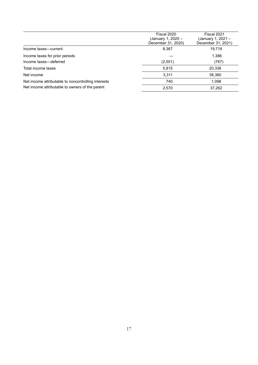|                                                     | Fiscal 2020<br>(January 1, 2020 –<br>December 31, 2020) | Fiscal 2021<br>(January 1, 2021 –<br>December 31, 2021) |
|-----------------------------------------------------|---------------------------------------------------------|---------------------------------------------------------|
| Income taxes-current                                | 8,367                                                   | 19.718                                                  |
| Income taxes for prior periods                      |                                                         | 1,386                                                   |
| Income taxes-deferred                               | (2,551)                                                 | (767)                                                   |
| Total income taxes                                  | 5.815                                                   | 20,336                                                  |
| Net income                                          | 3.311                                                   | 38,360                                                  |
| Net income attributable to noncontrolling interests | 740                                                     | 1.098                                                   |
| Net income attributable to owners of the parent     | 2,570                                                   | 37,262                                                  |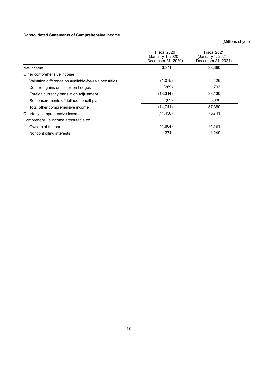### **Consolidated Statements of Comprehensive Income**

|                                                       | Fiscal 2020<br>(January 1, 2020 -<br>December 31, 2020) | Fiscal 2021<br>(January 1, 2021 -<br>December 31, 2021) |
|-------------------------------------------------------|---------------------------------------------------------|---------------------------------------------------------|
| Net income                                            | 3,311                                                   | 38,360                                                  |
| Other comprehensive income                            |                                                         |                                                         |
| Valuation difference on available-for-sale securities | (1,075)                                                 | 426                                                     |
| Deferred gains or losses on hedges                    | (269)                                                   | 793                                                     |
| Foreign currency translation adjustment               | (13, 314)                                               | 33,130                                                  |
| Remeasurements of defined benefit plans               | (82)                                                    | 3,030                                                   |
| Total other comprehensive income                      | (14, 741)                                               | 37,380                                                  |
| Quarterly comprehensive income                        | (11, 430)                                               | 75,741                                                  |
| Comprehensive income attributable to:                 |                                                         |                                                         |
| Owners of the parent                                  | (11, 804)                                               | 74,491                                                  |
| Noncontrolling interests                              | 374                                                     | 1,249                                                   |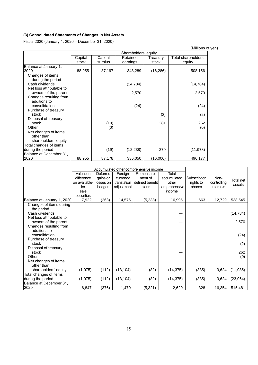### **(3) Consolidated Statements of Changes in Net Assets**

Fiscal 2020 (January 1, 2020 – December 31, 2020)

|                                    |         |         | Shareholders' equity |           |                     |
|------------------------------------|---------|---------|----------------------|-----------|---------------------|
|                                    | Capital | Capital | Retained             | Treasury  | Total shareholders' |
|                                    | stock   | surplus | earnings             | stock     | equity              |
| Balance at January 1,              |         |         |                      |           |                     |
| 2020                               | 88,955  | 87,197  | 348,289              | (16, 286) | 508,156             |
| Changes of items                   |         |         |                      |           |                     |
| during the period                  |         |         |                      |           |                     |
| Cash dividends                     |         |         | (14, 784)            |           | (14, 784)           |
| Net loss attributable to           |         |         |                      |           |                     |
| owners of the parent               |         |         | 2,570                |           | 2,570               |
| Changes resulting from             |         |         |                      |           |                     |
| additions to                       |         |         |                      |           |                     |
| consolidation                      |         |         | (24)                 |           | (24)                |
| Purchase of treasury               |         |         |                      |           |                     |
| stock                              |         |         |                      | (2)       | (2)                 |
| Disposal of treasury<br>stock      |         |         |                      | 281       |                     |
| Other                              |         | (19)    |                      |           | 262                 |
|                                    |         | (0)     |                      |           | (0)                 |
| Net changes of items<br>other than |         |         |                      |           |                     |
| shareholders' equity               |         |         |                      |           |                     |
| Total changes of items             |         |         |                      |           |                     |
| during the period                  |         | (19)    | (12,238)             | 279       | (11,978)            |
| Balance at December 31,            |         |         |                      |           |                     |
| 2020                               | 88,955  | 87,178  | 336,050              | (16,006)  | 496,177             |

|                            |               |           |             | Accumulated other comprehensive income |               |              |             |                  |
|----------------------------|---------------|-----------|-------------|----------------------------------------|---------------|--------------|-------------|------------------|
|                            | Valuation     | Deferred  | Foreign     | Remeasure-                             | Total         |              |             |                  |
|                            | difference    | gains or  | currency    | ment of                                | accumulated   | Subscription | Non-        | <b>Total net</b> |
|                            | on available- | losses on | translation | defined benefit                        | other         | rights to    | controlling | assets           |
|                            | for           | hedges    | adjustment  | plans                                  | comprehensive | shares       | interests   |                  |
|                            | sale          |           |             |                                        | income        |              |             |                  |
|                            | securities    |           |             |                                        |               |              |             |                  |
| Balance at January 1, 2020 | 7,922         | (263)     | 14,575      | (5, 238)                               | 16,995        | 663          | 12,729      | 538,545          |
| Changes of items during    |               |           |             |                                        |               |              |             |                  |
| the period                 |               |           |             |                                        |               |              |             |                  |
| Cash dividends             |               |           |             |                                        |               |              |             | (14, 784)        |
| Net loss attributable to   |               |           |             |                                        |               |              |             |                  |
| owners of the parent       |               |           |             |                                        |               |              |             | 2,570            |
| Changes resulting from     |               |           |             |                                        |               |              |             |                  |
| additions to               |               |           |             |                                        |               |              |             |                  |
| consolidation              |               |           |             |                                        |               |              |             | (24)             |
| Purchase of treasury       |               |           |             |                                        |               |              |             |                  |
| stock                      |               |           |             |                                        |               |              |             | (2)              |
| Disposal of treasury       |               |           |             |                                        |               |              |             |                  |
| stock                      |               |           |             |                                        |               |              |             | 262              |
| Other                      |               |           |             |                                        |               |              |             | (0)              |
| Net changes of items       |               |           |             |                                        |               |              |             |                  |
| other than                 |               |           |             |                                        |               |              |             |                  |
| shareholders' equity       | (1,075)       | (112)     | (13, 104)   | (82)                                   | (14, 375)     | (335)        | 3,624       | (11,085)         |
| Total changes of items     |               |           |             |                                        |               |              |             |                  |
| during the period          | (1,075)       | (112)     | (13, 104)   | (82)                                   | (14, 375)     | (335)        | 3,624       | (23,064)         |
| Balance at December 31,    |               |           |             |                                        |               |              |             |                  |
| 2020                       | 6,847         | (376)     | 1,470       | (5, 321)                               | 2,620         | 328          | 16,354      | 515,481          |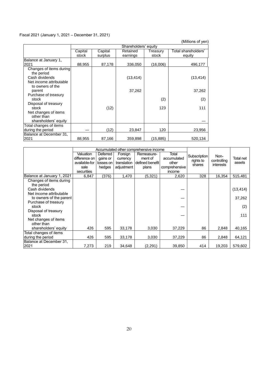### Fiscal 2021 (January 1, 2021 – December 31, 2021)

|                         |         |         | Shareholders' equity |          |                     |
|-------------------------|---------|---------|----------------------|----------|---------------------|
|                         | Capital | Capital | Retained             | Treasury | Total shareholders' |
|                         | stock   | surplus | earnings             | stock    | equity              |
| Balance at January 1,   |         |         |                      |          |                     |
| 2021                    | 88,955  | 87,178  | 336,050              | (16,006) | 496,177             |
| Changes of items during |         |         |                      |          |                     |
| the period              |         |         |                      |          |                     |
| Cash dividends          |         |         | (13, 414)            |          | (13, 414)           |
| Net income attributable |         |         |                      |          |                     |
| to owners of the        |         |         |                      |          |                     |
| parent                  |         |         | 37,262               |          | 37,262              |
| Purchase of treasury    |         |         |                      |          |                     |
| stock                   |         |         |                      | (2)      | (2)                 |
| Disposal of treasury    |         |         |                      |          |                     |
| stock                   |         | (12)    |                      | 123      | 111                 |
| Net changes of items    |         |         |                      |          |                     |
| other than              |         |         |                      |          |                     |
| shareholders' equity    |         |         |                      |          |                     |
| Total changes of items  |         |         |                      |          |                     |
| during the period       |         | (12)    | 23,847               | 120      | 23,956              |
| Balance at December 31, |         |         |                      |          |                     |
| 2021                    | 88,955  | 87,166  | 359,898              | (15,885) | 520.134             |

|                            |               |             |             | Accumulated other comprehensive income |               |              |                  |           |
|----------------------------|---------------|-------------|-------------|----------------------------------------|---------------|--------------|------------------|-----------|
|                            | Valuation     | Deferred    | Foreign     | Remeasure-                             | Total         | Subscription | Non-             |           |
|                            | difference on | gains or    | currency    | ment of                                | accumulated   | rights to    | controlling      | Total net |
|                            | available-for | losses on l | translation | I defined benefit l                    | other         | shares       | <b>interests</b> | assets    |
|                            | sale          | hedges      | adjustment  | plans                                  | comprehensive |              |                  |           |
|                            | securities    |             |             |                                        | income        |              |                  |           |
| Balance at January 1, 2021 | 6,847         | (376)       | 1,470       | (5,321)                                | 2,620         | 328          | 16,354           | 515,481   |
| Changes of items during    |               |             |             |                                        |               |              |                  |           |
| the period                 |               |             |             |                                        |               |              |                  |           |
| Cash dividends             |               |             |             |                                        |               |              |                  | (13, 414) |
| Net income attributable    |               |             |             |                                        |               |              |                  |           |
| to owners of the parent    |               |             |             |                                        |               |              |                  | 37,262    |
| Purchase of treasury       |               |             |             |                                        |               |              |                  |           |
| stock                      |               |             |             |                                        |               |              |                  | (2)       |
| Disposal of treasury       |               |             |             |                                        |               |              |                  |           |
| stock                      |               |             |             |                                        |               |              |                  | 111       |
| Net changes of items       |               |             |             |                                        |               |              |                  |           |
| other than                 |               |             |             |                                        |               |              |                  |           |
| shareholders' equity       | 426           | 595         | 33,178      | 3,030                                  | 37,229        | 86           | 2,848            | 40,165    |
| Total changes of items     |               |             |             |                                        |               |              |                  |           |
| during the period          | 426           | 595         | 33,178      | 3,030                                  | 37,229        | 86           | 2,848            | 64,121    |
| Balance at December 31,    |               |             |             |                                        |               |              |                  |           |
| 2021                       | 7,273         | 219         | 34,648      | (2, 291)                               | 39,850        | 414          | 19,203           | 579,602   |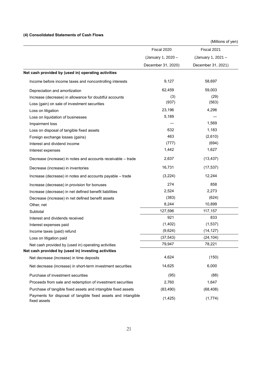### **(4) Consolidated Statements of Cash Flows**

|                                                                               | Fiscal 2020        | Fiscal 2021        |
|-------------------------------------------------------------------------------|--------------------|--------------------|
|                                                                               | (January 1, 2020 - | (January 1, 2021 - |
|                                                                               | December 31, 2020) | December 31, 2021) |
| Net cash provided by (used in) operating activities                           |                    |                    |
| Income before income taxes and noncontrolling interests                       | 9,127              | 58,697             |
| Depreciation and amortization                                                 | 62,459             | 59,003             |
| Increase (decrease) in allowance for doubtful accounts                        | (3)                | (29)               |
| Loss (gain) on sale of investment securities                                  | (937)              | (563)              |
| Loss on litigation                                                            | 23,196             | 4,296              |
| Loss on liquidation of businesses                                             | 5,189              |                    |
| Impairment loss                                                               |                    | 1,569              |
| Loss on disposal of tangible fixed assets                                     | 632                | 1,183              |
| Foreign exchange losses (gains)                                               | 463                | (2,610)            |
| Interest and dividend income                                                  | (777)              | (694)              |
| Interest expenses                                                             | 1,442              | 1,627              |
| Decrease (increase) in notes and accounts receivable - trade                  | 2,637              | (13, 437)          |
| Decrease (increase) in inventories                                            | 16,731             | (17, 537)          |
| Increase (decrease) in notes and accounts payable - trade                     | (3,224)            | 12,244             |
| Increase (decrease) in provision for bonuses                                  | 274                | 858                |
| Increase (decrease) in net defined benefit liabilities                        | 2,524              | 2,273              |
| Decrease (increase) in net defined benefit assets                             | (383)              | (624)              |
| Other, net                                                                    | 8,244              | 10,899             |
| Subtotal                                                                      | 127,596            | 117,157            |
| Interest and dividends received                                               | 921                | 833                |
| Interest expenses paid                                                        | (1,402)            | (1,537)            |
| Income taxes (paid) refund                                                    | (9,624)            | (14, 127)          |
| Loss on litigation paid                                                       | (37, 543)          | (24, 104)          |
| Net cash provided by (used in) operating activities                           | 79,947             | 78,221             |
| Net cash provided by (used in) investing activities                           |                    |                    |
| Net decrease (increase) in time deposits                                      | 4,624              | (150)              |
| Net decrease (increase) in short-term investment securities                   | 14,625             | 6,000              |
| Purchase of investment securities                                             | (95)               | (88)               |
| Proceeds from sale and redemption of investment securities                    | 2,760              | 1,647              |
| Purchase of tangible fixed assets and intangible fixed assets                 | (83, 490)          | (68, 408)          |
| Payments for disposal of tangible fixed assets and intangible<br>fixed assets | (1, 425)           | (1,774)            |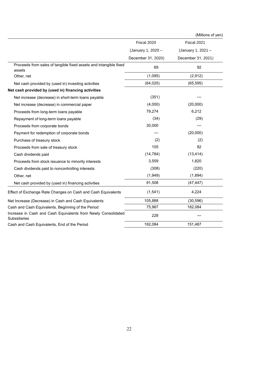|                                                                               |                    | (Millions of yen)  |
|-------------------------------------------------------------------------------|--------------------|--------------------|
|                                                                               | Fiscal 2020        | Fiscal 2021        |
|                                                                               | (January 1, 2020 - | (January 1, 2021 - |
|                                                                               | December 31, 2020) | December 31, 2021) |
| Proceeds from sales of tangible fixed assets and intangible fixed<br>assets   | 69                 | 92                 |
| Other, net                                                                    | (1,095)            | (2,912)            |
| Net cash provided by (used in) investing activities                           | (64, 025)          | (65, 595)          |
| Net cash provided by (used in) financing activities                           |                    |                    |
| Net increase (decrease) in short-term loans payable                           | (351)              |                    |
| Net increase (decrease) in commercial paper                                   | (4,000)            | (20,000)           |
| Proceeds from long-term loans payable                                         | 79,274             | 6,212              |
| Repayment of long-term loans payable                                          | (34)               | (29)               |
| Proceeds from corporate bonds                                                 | 30,000             |                    |
| Payment for redemption of corporate bonds                                     |                    | (20,000)           |
| Purchase of treasury stock                                                    | (2)                | (2)                |
| Proceeds from sale of treasury stock                                          | 105                | 82                 |
| Cash dividends paid                                                           | (14, 784)          | (13, 414)          |
| Proceeds from stock issuance to minority interests                            | 3,559              | 1,820              |
| Cash dividends paid to noncontrolling interests                               | (308)              | (220)              |
| Other, net                                                                    | (1,949)            | (1, 894)           |
| Net cash provided by (used in) financing activities                           | 91,508             | (47, 447)          |
| Effect of Exchange Rate Changes on Cash and Cash Equivalents                  | (1, 541)           | 4,224              |
| Net Increase (Decrease) in Cash and Cash Equivalents                          | 105,888            | (30, 596)          |
| Cash and Cash Equivalents, Beginning of the Period                            | 75,967             | 182,084            |
| Increase in Cash and Cash Equivalents from Newly Consolidated<br>Subsidiaries | 228                |                    |
| Cash and Cash Equivalents, End of the Period                                  | 182,084            | 151,487            |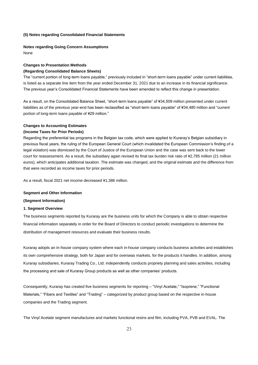#### **(5) Notes regarding Consolidated Financial Statements**

#### **Notes regarding Going Concern Assumptions**

None

### **Changes to Presentation Methods (Regarding Consolidated Balance Sheets)**

The "current portion of long-term loans payable," previously included in "short-term loans payable" under current liabilities, is listed as a separate line item from the year ended December 31, 2021 due to an increase in its financial significance. The previous year's Consolidated Financial Statements have been amended to reflect this change in presentation.

As a result, on the Consolidated Balance Sheet, "short-term loans payable" of ¥34,509 million presented under current liabilities as of the previous year-end has been reclassified as "short-term loans payable" of ¥34,480 million and "current portion of long-term loans payable of ¥29 million."

#### **Changes to Accounting Estimates**

#### **(Income Taxes for Prior Periods)**

Regarding the preferential tax programs in the Belgian tax code, which were applied to Kuraray's Belgian subsidiary in previous fiscal years, the ruling of the European General Court (which invalidated the European Commission's finding of a legal violation) was dismissed by the Court of Justice of the European Union and the case was sent back to the lower court for reassessment. As a result, the subsidiary again revised its final tax burden risk ratio of ¥2,785 million (21 million euros), which anticipates additional taxation. The estimate was changed, and the original estimate and the difference from that were recorded as income taxes for prior periods.

As a result, fiscal 2021 net income decreased ¥1,386 million.

#### **Segment and Other Information**

#### **(Segment Information)**

#### **1. Segment Overview**

The business segments reported by Kuraray are the business units for which the Company is able to obtain respective financial information separately in order for the Board of Directors to conduct periodic investigations to determine the distribution of management resources and evaluate their business results.

Kuraray adopts an in-house company system where each in-house company conducts business activities and establishes its own comprehensive strategy, both for Japan and for overseas markets, for the products it handles. In addition, among Kuraray subsidiaries, Kuraray Trading Co., Ltd. independently conducts propriety planning and sales activities, including the processing and sale of Kuraray Group products as well as other companies' products.

Consequently, Kuraray has created five business segments for reporting – "Vinyl Acetate," "Isoprene," "Functional Materials," "Fibers and Textiles" and "Trading" – categorized by product group based on the respective in-house companies and the Trading segment.

The Vinyl Acetate segment manufactures and markets functional resins and film, including PVA, PVB and EVAL. The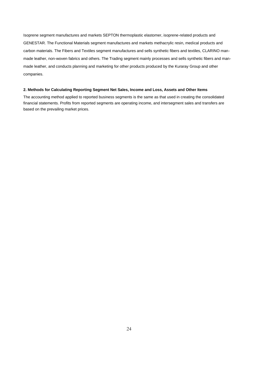Isoprene segment manufactures and markets SEPTON thermoplastic elastomer, isoprene-related products and GENESTAR. The Functional Materials segment manufactures and markets methacrylic resin, medical products and carbon materials. The Fibers and Textiles segment manufactures and sells synthetic fibers and textiles, CLARINO manmade leather, non-woven fabrics and others. The Trading segment mainly processes and sells synthetic fibers and manmade leather, and conducts planning and marketing for other products produced by the Kuraray Group and other companies.

#### **2. Methods for Calculating Reporting Segment Net Sales, Income and Loss, Assets and Other Items**

The accounting method applied to reported business segments is the same as that used in creating the consolidated financial statements. Profits from reported segments are operating income, and intersegment sales and transfers are based on the prevailing market prices.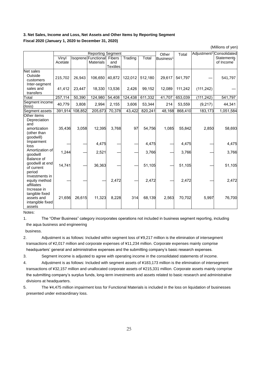### **3. Net Sales, Income and Loss, Net Assets and Other Items by Reporting Segment Fiscal 2020 (January 1, 2020 to December 31, 2020)**

|                                                                   |         |         | <b>Reporting Segment</b>   |                 |         |         | Other                 | Total   |            | Adjustment <sup>2</sup> Consolidated |
|-------------------------------------------------------------------|---------|---------|----------------------------|-----------------|---------|---------|-----------------------|---------|------------|--------------------------------------|
|                                                                   | Vinyl   |         | Isoprene Functional Fibers |                 | Trading | Total   | Business <sup>1</sup> |         |            | Statements                           |
|                                                                   | Acetate |         | <b>Materials</b>           | and             |         |         |                       |         |            | of Income                            |
|                                                                   |         |         |                            | <b>Textiles</b> |         |         |                       |         |            |                                      |
| Net sales<br>Outside<br>customers<br>Inter-segment                | 215,702 | 26,943  | 106,650                    | 40,872          | 122,012 | 512,180 | 29,617                | 541,797 |            | 541,797                              |
| sales and<br>transfers                                            | 41,412  | 23,447  | 18,330                     | 13,536          | 2,426   | 99,152  | 12,089                | 111,242 | (111, 242) |                                      |
| Total                                                             | 257,114 | 50,390  | 124,980                    | 54,408          | 124,438 | 611,332 | 41,707                | 653,039 | (111, 242) | 541,797                              |
| Segment income<br>(loss)                                          | 40,779  | 3,808   | 2,994                      | 2,155           | 3,606   | 53,344  | 214                   | 53,559  | (9,217)    | 44,341                               |
| Segment assets                                                    | 391,914 | 108,852 | 205,673                    | 70,378          | 43,422  | 820,241 | 48,168                | 868,410 | 183,173    | 1,051,584                            |
| Other items<br>Depreciation<br>and<br>amortization<br>(other than | 35,436  | 3,058   | 12,395                     | 3,768           | 97      | 54,756  | 1,085                 | 55,842  | 2,850      | 58,693                               |
| goodwill)<br>Impairment<br>loss                                   |         |         | 4,475                      |                 |         | 4,475   |                       | 4,475   |            | 4,475                                |
| Amortization of<br>qoodwill<br>Balance of                         | 1,244   |         | 2,521                      |                 |         | 3,766   |                       | 3,766   |            | 3,766                                |
| goodwill at end<br>of current<br>period                           | 14,741  |         | 36,363                     |                 |         | 51,105  |                       | 51,105  |            | 51,105                               |
| Investments in<br>equity method<br>affiliates<br>Increase in      |         |         |                            | 2,472           |         | 2,472   |                       | 2,472   |            | 2,472                                |
| tangible fixed<br>assets and<br>intangible fixed<br>assets        | 21,656  | 26,615  | 11,323                     | 8,228           | 314     | 68,139  | 2,563                 | 70,702  | 5,997      | 76,700                               |

Notes:

1. The "Other Business" category incorporates operations not included in business segment reporting, including the aqua business and engineering

business.

2. Adjustment is as follows: Included within segment loss of ¥9,217 million is the elimination of intersegment transactions of ¥2,017 million and corporate expenses of ¥11,234 million. Corporate expenses mainly comprise headquarters' general and administrative expenses and the submitting company's basic research expenses.

3. Segment income is adjusted to agree with operating income in the consolidated statements of income.

- 4. Adjustment is as follows: Included with segment assets of ¥183,173 million is the elimination of intersegment transactions of ¥32,157 million and unallocated corporate assets of ¥215,331 million. Corporate assets mainly comprise the submitting company's surplus funds, long-term investments and assets related to basic research and administrative divisions at headquarters.
- 5. The ¥4,475 million impairment loss for Functional Materials is included in the loss on liquidation of businesses presented under extraordinary loss.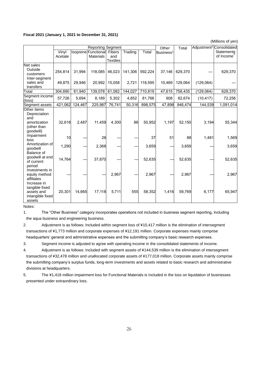#### **Fiscal 2021 (January 1, 2021 to December 31, 2021)**

(Millions of yen)

|                                                                                |         |         | <b>Reporting Segment</b>   |                 |         |         | Other                 | Total   |            | Adjustment <sup>2</sup> Consolidated |
|--------------------------------------------------------------------------------|---------|---------|----------------------------|-----------------|---------|---------|-----------------------|---------|------------|--------------------------------------|
|                                                                                | Vinyl   |         | Isoprene Functional Fibers |                 | Trading | Total   | Business <sup>1</sup> |         |            | Statements                           |
|                                                                                | Acetate |         | <b>Materials</b>           | and             |         |         |                       |         |            | of Income                            |
|                                                                                |         |         |                            | <b>Textiles</b> |         |         |                       |         |            |                                      |
| Net sales<br>Outside<br>customers                                              | 254,814 | 31,994  | 118,085                    | 46,023          | 141,306 | 592,224 | 37,146                | 629,370 |            | 629,370                              |
| Inter-segment<br>sales and<br>transfers                                        | 49,875  | 29,946  | 20,992                     | 15,058          | 2,721   | 118,595 | 10,469                | 129,064 | (129,064)  |                                      |
| Total                                                                          | 304,690 | 61,940  | 139,078 61,082             |                 | 144,027 | 710,819 | 47,615                | 758,435 | (129, 064) | 629,370                              |
| Segment income<br>(loss)                                                       | 57,726  | 5,694   | 8,189                      | 5,302           | 4,852   | 81,766  | 908                   | 82,674  | (10, 417)  | 72,256                               |
| Segment assets                                                                 | 421,062 | 124,467 | 225,987                    | 76,741          | 50,316  | 898,575 | 47,898                | 946,474 | 144,539    | 1,091,014                            |
| Other items<br>Depreciation<br>and<br>amortization<br>(other than<br>goodwill) | 32,618  | 2,487   | 11,459                     | 4,300           | 86      | 50,952  | 1,197                 | 52,150  | 3,194      | 55,344                               |
| Impairment<br>loss                                                             | 10      |         | 26                         |                 |         | 37      | 51                    | 88      | 1,481      | 1,569                                |
| Amortization of<br>goodwill<br>Balance of                                      | 1,290   |         | 2,368                      |                 |         | 3,659   |                       | 3,659   |            | 3,659                                |
| goodwill at end<br>of current<br>period                                        | 14,764  |         | 37,870                     |                 |         | 52,635  |                       | 52,635  |            | 52,635                               |
| Investments in<br>equity method<br>affiliates<br>Increase in                   |         |         |                            | 2,967           |         | 2,967   |                       | 2,967   |            | 2,967                                |
| tangible fixed<br>assets and<br>intangible fixed<br>assets                     | 20,301  | 14,665  | 17,118                     | 5,711           | 555     | 58,352  | 1,416                 | 59,769  | 6,177      | 65,947                               |

Notes:

1. The "Other Business" category incorporates operations not included in business segment reporting, including the aqua business and engineering business.

2. Adjustment is as follows: Included within segment loss of ¥10,417 million is the elimination of intersegment transactions of ¥1,773 million and corporate expenses of ¥12,191 million. Corporate expenses mainly comprise headquarters' general and administrative expenses and the submitting company's basic research expenses.

3. Segment income is adjusted to agree with operating income in the consolidated statements of income.

- 4. Adjustment is as follows: Included with segment assets of ¥144,539 million is the elimination of intersegment transactions of ¥32,478 million and unallocated corporate assets of ¥177,018 million. Corporate assets mainly comprise the submitting company's surplus funds, long-term investments and assets related to basic research and administrative divisions at headquarters.
- 5. The ¥1,418 million impairment loss for Functional Materials is included in the loss on liquidation of businesses presented under extraordinary loss.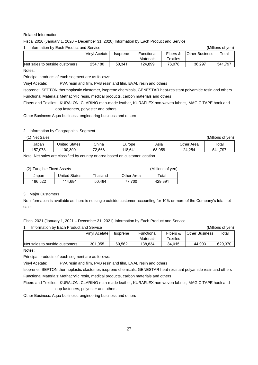#### Related Information

Fiscal 2020 (January 1, 2020 – December 31, 2020) Information by Each Product and Service

| Information by Each Product and Service |               | (Millions of ven) |                  |          |                       |         |
|-----------------------------------------|---------------|-------------------|------------------|----------|-----------------------|---------|
|                                         | Vinyl Acetate | <b>Isoprene</b>   | Functional       | Fibers & | <b>Other Business</b> | Total   |
|                                         |               |                   | <b>Materials</b> | Textiles |                       |         |
| Net sales to outside customers          | 254.180       | 50.341            | 124.899          | 76.078   | 36.297                | 541.797 |

Notes:

Principal products of each segment are as follows:

Vinyl Acetate: PVA resin and film, PVB resin and film, EVAL resin and others

Isoprene: SEPTON thermoplastic elastomer, isoprene chemicals, GENESTAR heat-resistant polyamide resin and others

Functional Materials:Methacrylic resin*,* medical products, carbon materials and others

Fibers and Textiles: KURALON, CLARINO man-made leather, KURAFLEX non-woven fabrics*,* MAGIC TAPE hook and loop fasteners, polyester and others

Other Business: Aqua business, engineering business and others

#### 2. Information by Geographical Segment

(1) Net Sales (Millions of yen)

| Japan                     | <b>States</b><br>Jnited | China        | Europe  | Asia   | Other.<br>Area | Total               |
|---------------------------|-------------------------|--------------|---------|--------|----------------|---------------------|
| $0.97^\circ$<br>E7<br>، ن | 100.300                 | 70.<br>2,568 | 118.641 | 68.058 | 254<br>24      | $54^{\prime}$<br>У, |

Note: Net sales are classified by country or area based on customer location.

#### (2) Tangible Fixed Assets

| (Millions of yen) |
|-------------------|
|-------------------|

|         |                      |          |            | . <i>.</i> |
|---------|----------------------|----------|------------|------------|
| Japan   | <b>United States</b> | Thailand | Other Area | Total      |
| 186.522 | 114,684              | 50.484   | 77.700     | 429.391    |

#### 3. Major Customers

No information is available as there is no single outside customer accounting for 10% or more of the Company's total net sales.

Fiscal 2021 (January 1, 2021 – December 31, 2021) Information by Each Product and Service

|                                | Information by Each Product and Service |          |            |                |                       | (Millions of ven) |  |  |
|--------------------------------|-----------------------------------------|----------|------------|----------------|-----------------------|-------------------|--|--|
|                                | Vinyl Acetate                           | Isoprene | Functional | Fibers &       | <b>Other Business</b> | Total             |  |  |
|                                |                                         |          | Materials  | $\tau$ extiles |                       |                   |  |  |
| Net sales to outside customers | 301,055                                 | 60.562   | 138.834    | 84.015         | 44.903                | 629.370           |  |  |

Notes:

Principal products of each segment are as follows:

Vinyl Acetate: PVA resin and film, PVB resin and film, EVAL resin and others

Isoprene: SEPTON thermoplastic elastomer, isoprene chemicals, GENESTAR heat-resistant polyamide resin and others Functional Materials:Methacrylic resin*,* medical products, carbon materials and others

Fibers and Textiles: KURALON, CLARINO man-made leather, KURAFLEX non-woven fabrics*,* MAGIC TAPE hook and loop fasteners, polyester and others

Other Business: Aqua business, engineering business and others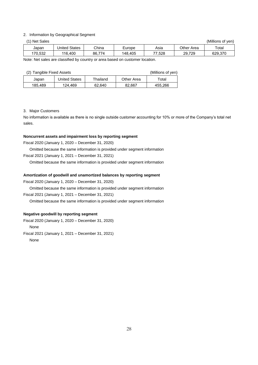#### 2. Information by Geographical Segment

(1) Net Sales (Millions of yen)

| Japan                | <b>Jnited States</b> | China       | Europe  | Asia   | Other .<br>Area | Total      |
|----------------------|----------------------|-------------|---------|--------|-----------------|------------|
| 0.532<br>$\cdot$ 70. | 116.400              | 774<br>86.7 | 148.405 | 77.528 | 29.729          | חדפ<br>629 |
| $\cdots$<br>.        | $\cdot$              |             |         |        |                 |            |

Note: Net sales are classified by country or area based on customer location.

#### (2) Tangible Fixed Assets (Millions of yen)

| (4) Tangibio i ikoa 7199019<br>$\frac{1}{2}$ |                      |          |            |             |  |  |
|----------------------------------------------|----------------------|----------|------------|-------------|--|--|
| Japan                                        | <b>United States</b> | Thailand | Other Area | $\tau$ otal |  |  |
| 185.489                                      | 124.469              | 62.640   | 82.667     | 455.266     |  |  |

#### 3. Major Customers

No information is available as there is no single outside customer accounting for 10% or more of the Company's total net sales.

#### **Noncurrent assets and impairment loss by reporting segment**

Fiscal 2020 (January 1, 2020 – December 31, 2020)

Omitted because the same information is provided under segment information

Fiscal 2021 (January 1, 2021 – December 31, 2021)

Omitted because the same information is provided under segment information

#### **Amortization of goodwill and unamortized balances by reporting segment**

Fiscal 2020 (January 1, 2020 – December 31, 2020)

Omitted because the same information is provided under segment information

### Fiscal 2021 (January 1, 2021 – December 31, 2021)

Omitted because the same information is provided under segment information

#### **Negative goodwill by reporting segment**

Fiscal 2020 (January 1, 2020 – December 31, 2020) None

Fiscal 2021 (January 1, 2021 – December 31, 2021)

None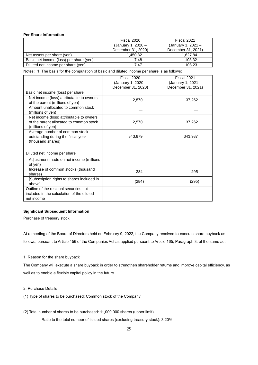#### **Per Share Information**

|                                         | Fiscal 2020                              | Fiscal 2021                              |  |
|-----------------------------------------|------------------------------------------|------------------------------------------|--|
|                                         | (January 1, 2020 -<br>December 31, 2020) | (January 1, 2021 -<br>December 31, 2021) |  |
| Net assets per share (yen)              | 1.450.32                                 | 1.627.84                                 |  |
| Basic net income (loss) per share (yen) | 7.48                                     | 108.32                                   |  |
| Diluted net income per share (yen)      | 7.47                                     | 108.23                                   |  |

Notes: 1. The basis for the computation of basic and diluted income per share is as follows:

|                                                                                                          | Fiscal 2020                              | Fiscal 2021                              |
|----------------------------------------------------------------------------------------------------------|------------------------------------------|------------------------------------------|
|                                                                                                          | (January 1, 2020 -<br>December 31, 2020) | (January 1, 2021 -<br>December 31, 2021) |
| Basic net income (loss) per share                                                                        |                                          |                                          |
| Net income (loss) attributable to owners<br>of the parent (millions of yen)                              | 2.570                                    | 37,262                                   |
| Amount unallocated to common stock<br>(millions of yen)                                                  |                                          |                                          |
| Net income (loss) attributable to owners<br>of the parent allocated to common stock<br>(millions of yen) | 2,570                                    | 37,262                                   |
| Average number of common stock<br>outstanding during the fiscal year<br>(thousand shares)                | 343,879                                  | 343,987                                  |
|                                                                                                          |                                          |                                          |
| Diluted net income per share                                                                             |                                          |                                          |
| Adjustment made on net income (millions<br>of yen)                                                       |                                          |                                          |
| Increase of common stocks (thousand<br>shares)                                                           | 284                                      | 295                                      |
| [Subscription rights to shares included in<br>abovel                                                     | (284)                                    | (295)                                    |
| Outline of the residual securities not<br>included in the calculation of the diluted<br>net income       |                                          |                                          |

### **Significant Subsequent Information**

Purchase of treasury stock

At a meeting of the Board of Directors held on February 9, 2022, the Company resolved to execute share buyback as follows, pursuant to Article 156 of the Companies Act as applied pursuant to Article 165, Paragraph 3, of the same act.

1. Reason for the share buyback

The Company will execute a share buyback in order to strengthen shareholder returns and improve capital efficiency, as well as to enable a flexible capital policy in the future.

2. Purchase Details

(1) Type of shares to be purchased: Common stock of the Company

(2) Total number of shares to be purchased: 11,000,000 shares (upper limit)

Ratio to the total number of issued shares (excluding treasury stock): 3.20%